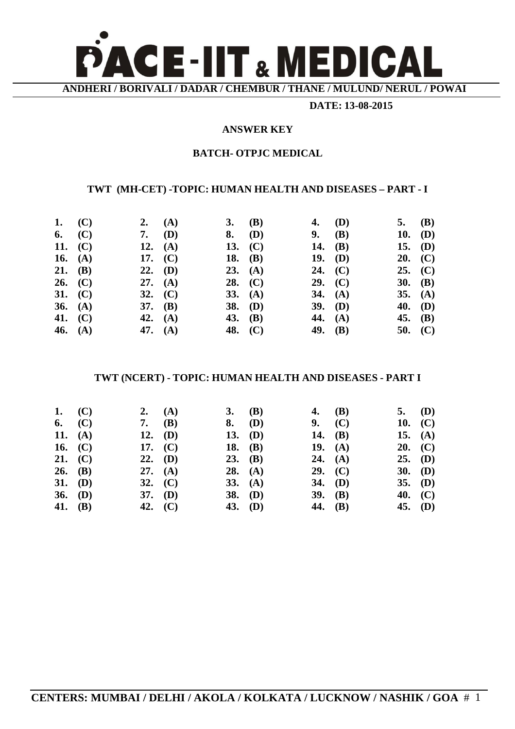

**DATE: 13-08-2015**

#### **ANSWER KEY**

### **BATCH- OTPJC MEDICAL**

# **TWT (MH-CET) -TOPIC: HUMAN HEALTH AND DISEASES – PART - I**

| 1. $(C)$  | 2. $(A)$  | 3. (B)    | 4. (D)    | 5. (B)    |  |
|-----------|-----------|-----------|-----------|-----------|--|
| 6. $(C)$  | 7. $(D)$  | $8.$ (D)  | 9. (B)    | 10. $(D)$ |  |
| 11. $(C)$ | 12. $(A)$ | 13. $(C)$ | 14. $(B)$ | 15. $(D)$ |  |
| 16. $(A)$ | 17. $(C)$ | 18. $(B)$ | 19. (D)   | 20. (C)   |  |
| 21. (B)   | 22. (D)   | 23. (A)   | 24. $(C)$ | 25. (C)   |  |
| 26. $(C)$ | 27. $(A)$ | 28. $(C)$ | 29. (C)   | 30. $(B)$ |  |
| 31. $(C)$ | 32. $(C)$ | 33. $(A)$ | 34. $(A)$ | 35. $(A)$ |  |
| 36. $(A)$ | 37. $(B)$ | 38. $(D)$ | $39.$ (D) | 40. (D)   |  |
| 41. $(C)$ | 42. $(A)$ | 43. $(B)$ | 44. $(A)$ | 45. (B)   |  |
| 46. $(A)$ | 47. $(A)$ | 48. (C)   | 49. $(B)$ | 50. $(C)$ |  |

# **TWT (NCERT) - TOPIC: HUMAN HEALTH AND DISEASES - PART I**

|         | 1. $(C)$  | 2. $(A)$  | 3. (B)    | 4. (B)    | 5. (D)    |  |
|---------|-----------|-----------|-----------|-----------|-----------|--|
|         | 6. $(C)$  | 7. $(B)$  | $8.$ (D)  | 9. (C)    | 10. $(C)$ |  |
|         | 11. $(A)$ | 12. $(D)$ | 13. (D)   | 14. $(B)$ | 15. $(A)$ |  |
|         | 16. $(C)$ | 17. $(C)$ | 18. (B)   | 19. $(A)$ | 20. (C)   |  |
|         | 21. $(C)$ | $22.$ (D) | $23.$ (B) | 24. $(A)$ | $25.$ (D) |  |
|         | 26. (B)   | 27. $(A)$ | 28. $(A)$ | 29. (C)   | 30. $(D)$ |  |
|         | 31. (D)   | 32. $(C)$ | 33. $(A)$ | 34. (D)   | $35.$ (D) |  |
|         | 36. $(D)$ | $37.$ (D) | 38. (D)   | 39. $(B)$ | 40. $(C)$ |  |
| 41. (B) |           | 42. $(C)$ | 43. (D)   | 44. (B)   | 45. (D)   |  |